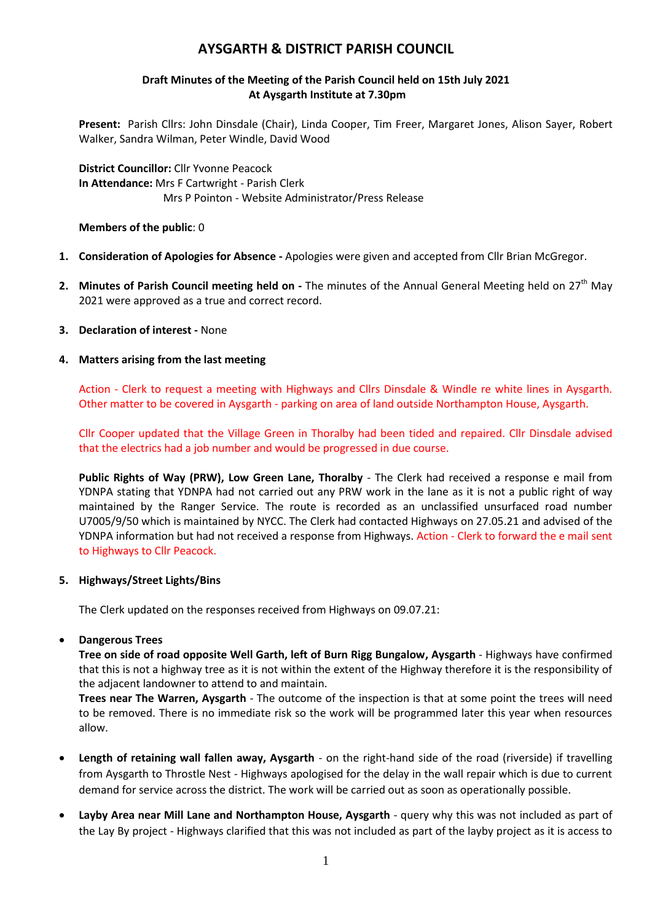# **AYSGARTH & DISTRICT PARISH COUNCIL**

# **Draft Minutes of the Meeting of the Parish Council held on 15th July 2021 At Aysgarth Institute at 7.30pm**

**Present:** Parish Cllrs: John Dinsdale (Chair), Linda Cooper, Tim Freer, Margaret Jones, Alison Sayer, Robert Walker, Sandra Wilman, Peter Windle, David Wood

**District Councillor:** Cllr Yvonne Peacock **In Attendance:** Mrs F Cartwright - Parish Clerk Mrs P Pointon - Website Administrator/Press Release

**Members of the public**: 0

- **1. Consideration of Apologies for Absence -** Apologies were given and accepted from Cllr Brian McGregor.
- **2.** Minutes of Parish Council meeting held on The minutes of the Annual General Meeting held on 27<sup>th</sup> May 2021 were approved as a true and correct record.
- **3. Declaration of interest -** None

## **4. Matters arising from the last meeting**

Action - Clerk to request a meeting with Highways and Cllrs Dinsdale & Windle re white lines in Aysgarth. Other matter to be covered in Aysgarth - parking on area of land outside Northampton House, Aysgarth.

Cllr Cooper updated that the Village Green in Thoralby had been tided and repaired. Cllr Dinsdale advised that the electrics had a job number and would be progressed in due course.

**Public Rights of Way (PRW), Low Green Lane, Thoralby** - The Clerk had received a response e mail from YDNPA stating that YDNPA had not carried out any PRW work in the lane as it is not a public right of way maintained by the Ranger Service. The route is recorded as an unclassified unsurfaced road number U7005/9/50 which is maintained by NYCC. The Clerk had contacted Highways on 27.05.21 and advised of the YDNPA information but had not received a response from Highways. Action - Clerk to forward the e mail sent to Highways to Cllr Peacock.

#### **5. Highways/Street Lights/Bins**

The Clerk updated on the responses received from Highways on 09.07.21:

#### **Dangerous Trees**

**Tree on side of road opposite Well Garth, left of Burn Rigg Bungalow, Aysgarth** - Highways have confirmed that this is not a highway tree as it is not within the extent of the Highway therefore it is the responsibility of the adjacent landowner to attend to and maintain.

**Trees near The Warren, Aysgarth** - The outcome of the inspection is that at some point the trees will need to be removed. There is no immediate risk so the work will be programmed later this year when resources allow.

- **Length of retaining wall fallen away, Aysgarth** on the right-hand side of the road (riverside) if travelling from Aysgarth to Throstle Nest - Highways apologised for the delay in the wall repair which is due to current demand for service across the district. The work will be carried out as soon as operationally possible.
- **Layby Area near Mill Lane and Northampton House, Aysgarth** query why this was not included as part of the Lay By project - Highways clarified that this was not included as part of the layby project as it is access to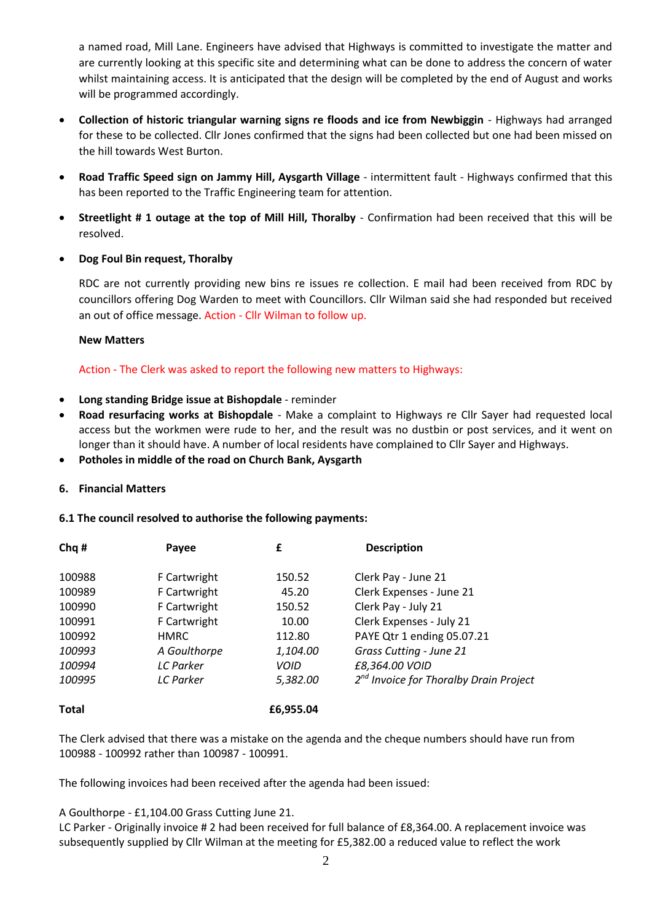a named road, Mill Lane. Engineers have advised that Highways is committed to investigate the matter and are currently looking at this specific site and determining what can be done to address the concern of water whilst maintaining access. It is anticipated that the design will be completed by the end of August and works will be programmed accordingly.

- **Collection of historic triangular warning signs re floods and ice from Newbiggin** Highways had arranged for these to be collected. Cllr Jones confirmed that the signs had been collected but one had been missed on the hill towards West Burton.
- **Road Traffic Speed sign on Jammy Hill, Aysgarth Village** intermittent fault Highways confirmed that this has been reported to the Traffic Engineering team for attention.
- **Streetlight # 1 outage at the top of Mill Hill, Thoralby**  Confirmation had been received that this will be resolved.
- **Dog Foul Bin request, Thoralby**

RDC are not currently providing new bins re issues re collection. E mail had been received from RDC by councillors offering Dog Warden to meet with Councillors. Cllr Wilman said she had responded but received an out of office message. Action - Cllr Wilman to follow up.

# **New Matters**

Action - The Clerk was asked to report the following new matters to Highways:

- **Long standing Bridge issue at Bishopdale**  reminder
- **Road resurfacing works at Bishopdale** Make a complaint to Highways re Cllr Sayer had requested local access but the workmen were rude to her, and the result was no dustbin or post services, and it went on longer than it should have. A number of local residents have complained to Cllr Sayer and Highways.
- **Potholes in middle of the road on Church Bank, Aysgarth**

# **6. Financial Matters**

# **6.1 The council resolved to authorise the following payments:**

| Chq#         | Payee            | £         | <b>Description</b>                          |
|--------------|------------------|-----------|---------------------------------------------|
| 100988       | F Cartwright     | 150.52    | Clerk Pay - June 21                         |
| 100989       | F Cartwright     | 45.20     | Clerk Expenses - June 21                    |
| 100990       | F Cartwright     | 150.52    | Clerk Pay - July 21                         |
| 100991       | F Cartwright     | 10.00     | Clerk Expenses - July 21                    |
| 100992       | <b>HMRC</b>      | 112.80    | PAYE Qtr 1 ending 05.07.21                  |
| 100993       | A Goulthorpe     | 1,104.00  | Grass Cutting - June 21                     |
| 100994       | <b>LC</b> Parker | VOID      | £8,364.00 VOID                              |
| 100995       | <b>LC</b> Parker | 5,382.00  | $2^{nd}$ Invoice for Thoralby Drain Project |
| <b>Total</b> |                  | £6,955.04 |                                             |

The Clerk advised that there was a mistake on the agenda and the cheque numbers should have run from 100988 - 100992 rather than 100987 - 100991.

The following invoices had been received after the agenda had been issued:

A Goulthorpe - £1,104.00 Grass Cutting June 21.

LC Parker - Originally invoice # 2 had been received for full balance of £8,364.00. A replacement invoice was subsequently supplied by Cllr Wilman at the meeting for £5,382.00 a reduced value to reflect the work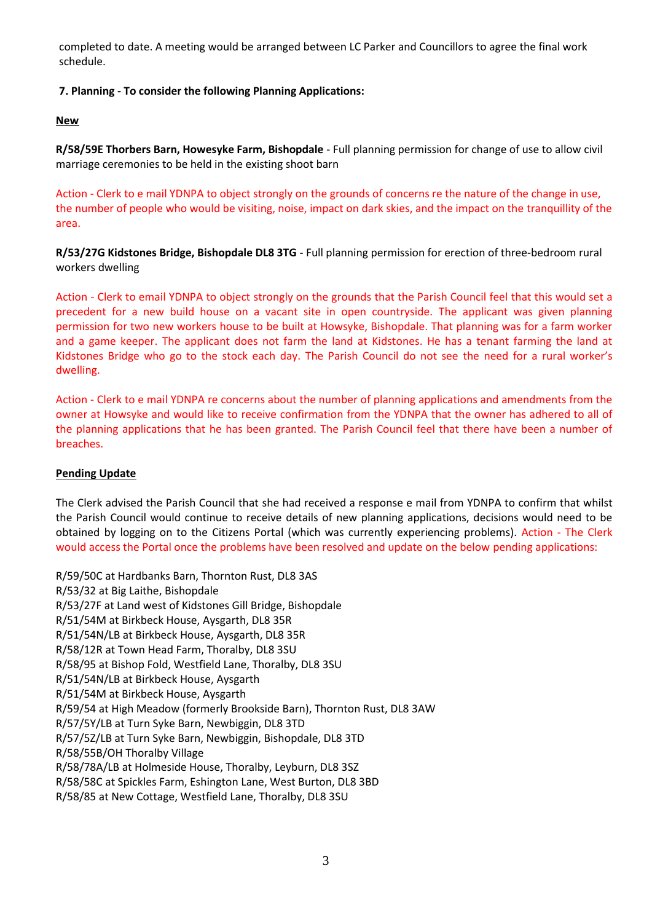completed to date. A meeting would be arranged between LC Parker and Councillors to agree the final work schedule.

# **7. Planning - To consider the following Planning Applications:**

#### **New**

**R/58/59E Thorbers Barn, Howesyke Farm, Bishopdale** - Full planning permission for change of use to allow civil marriage ceremonies to be held in the existing shoot barn

Action - Clerk to e mail YDNPA to object strongly on the grounds of concerns re the nature of the change in use, the number of people who would be visiting, noise, impact on dark skies, and the impact on the tranquillity of the area.

**R/53/27G Kidstones Bridge, Bishopdale DL8 3TG** - Full planning permission for erection of three-bedroom rural workers dwelling

Action - Clerk to email YDNPA to object strongly on the grounds that the Parish Council feel that this would set a precedent for a new build house on a vacant site in open countryside. The applicant was given planning permission for two new workers house to be built at Howsyke, Bishopdale. That planning was for a farm worker and a game keeper. The applicant does not farm the land at Kidstones. He has a tenant farming the land at Kidstones Bridge who go to the stock each day. The Parish Council do not see the need for a rural worker's dwelling.

Action - Clerk to e mail YDNPA re concerns about the number of planning applications and amendments from the owner at Howsyke and would like to receive confirmation from the YDNPA that the owner has adhered to all of the planning applications that he has been granted. The Parish Council feel that there have been a number of breaches.

#### **Pending Update**

The Clerk advised the Parish Council that she had received a response e mail from YDNPA to confirm that whilst the Parish Council would continue to receive details of new planning applications, decisions would need to be obtained by logging on to the Citizens Portal (which was currently experiencing problems). Action - The Clerk would access the Portal once the problems have been resolved and update on the below pending applications:

R/59/50C at Hardbanks Barn, Thornton Rust, DL8 3AS R/53/32 at Big Laithe, Bishopdale R/53/27F at Land west of Kidstones Gill Bridge, Bishopdale R/51/54M at Birkbeck House, Aysgarth, DL8 35R R/51/54N/LB at Birkbeck House, Aysgarth, DL8 35R R/58/12R at Town Head Farm, Thoralby, DL8 3SU R/58/95 at Bishop Fold, Westfield Lane, Thoralby, DL8 3SU R/51/54N/LB at Birkbeck House, Aysgarth R/51/54M at Birkbeck House, Aysgarth R/59/54 at High Meadow (formerly Brookside Barn), Thornton Rust, DL8 3AW R/57/5Y/LB at Turn Syke Barn, Newbiggin, DL8 3TD R/57/5Z/LB at Turn Syke Barn, Newbiggin, Bishopdale, DL8 3TD R/58/55B/OH Thoralby Village R/58/78A/LB at Holmeside House, Thoralby, Leyburn, DL8 3SZ R/58/58C at Spickles Farm, Eshington Lane, West Burton, DL8 3BD R/58/85 at New Cottage, Westfield Lane, Thoralby, DL8 3SU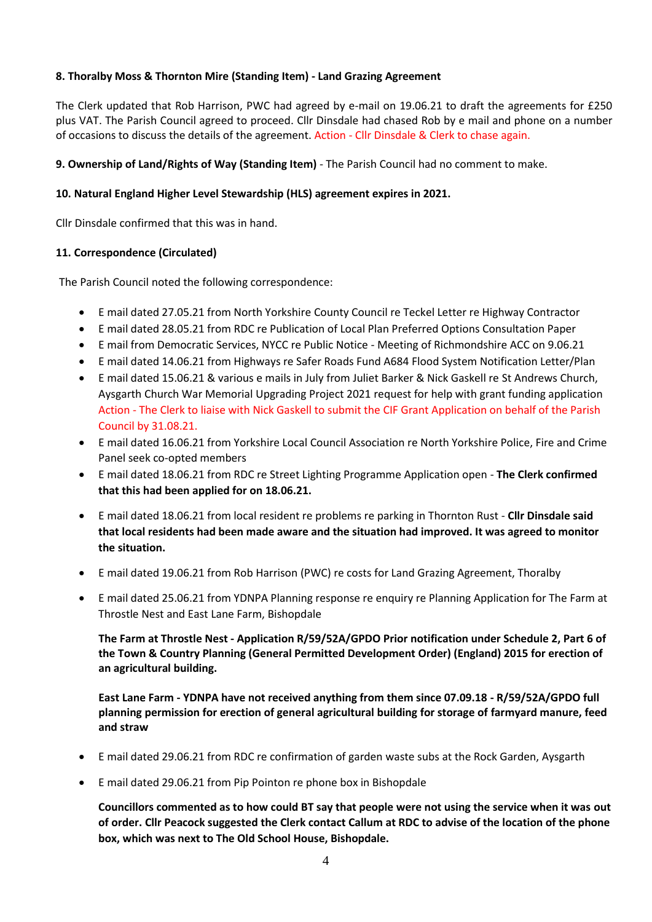# **8. Thoralby Moss & Thornton Mire (Standing Item) - Land Grazing Agreement**

The Clerk updated that Rob Harrison, PWC had agreed by e-mail on 19.06.21 to draft the agreements for £250 plus VAT. The Parish Council agreed to proceed. Cllr Dinsdale had chased Rob by e mail and phone on a number of occasions to discuss the details of the agreement. Action - Cllr Dinsdale & Clerk to chase again.

## **9. Ownership of Land/Rights of Way (Standing Item)** - The Parish Council had no comment to make.

## **10. Natural England Higher Level Stewardship (HLS) agreement expires in 2021.**

Cllr Dinsdale confirmed that this was in hand.

## **11. Correspondence (Circulated)**

The Parish Council noted the following correspondence:

- E mail dated 27.05.21 from North Yorkshire County Council re Teckel Letter re Highway Contractor
- E mail dated 28.05.21 from RDC re Publication of Local Plan Preferred Options Consultation Paper
- E mail from Democratic Services, NYCC re Public Notice Meeting of Richmondshire ACC on 9.06.21
- E mail dated 14.06.21 from Highways re Safer Roads Fund A684 Flood System Notification Letter/Plan
- E mail dated 15.06.21 & various e mails in July from Juliet Barker & Nick Gaskell re St Andrews Church, Aysgarth Church War Memorial Upgrading Project 2021 request for help with grant funding application Action - The Clerk to liaise with Nick Gaskell to submit the CIF Grant Application on behalf of the Parish Council by 31.08.21.
- E mail dated 16.06.21 from Yorkshire Local Council Association re North Yorkshire Police, Fire and Crime Panel seek co-opted members
- E mail dated 18.06.21 from RDC re Street Lighting Programme Application open **The Clerk confirmed that this had been applied for on 18.06.21.**
- E mail dated 18.06.21 from local resident re problems re parking in Thornton Rust **Cllr Dinsdale said that local residents had been made aware and the situation had improved. It was agreed to monitor the situation.**
- E mail dated 19.06.21 from Rob Harrison (PWC) re costs for Land Grazing Agreement, Thoralby
- E mail dated 25.06.21 from YDNPA Planning response re enquiry re Planning Application for The Farm at Throstle Nest and East Lane Farm, Bishopdale

**The Farm at Throstle Nest - Application R/59/52A/GPDO Prior notification under Schedule 2, Part 6 of the Town & Country Planning (General Permitted Development Order) (England) 2015 for erection of an agricultural building.**

**East Lane Farm - YDNPA have not received anything from them since 07.09.18 - R/59/52A/GPDO full planning permission for erection of general agricultural building for storage of farmyard manure, feed and straw**

- E mail dated 29.06.21 from RDC re confirmation of garden waste subs at the Rock Garden, Aysgarth
- E mail dated 29.06.21 from Pip Pointon re phone box in Bishopdale

**Councillors commented as to how could BT say that people were not using the service when it was out of order. Cllr Peacock suggested the Clerk contact Callum at RDC to advise of the location of the phone box, which was next to The Old School House, Bishopdale.**